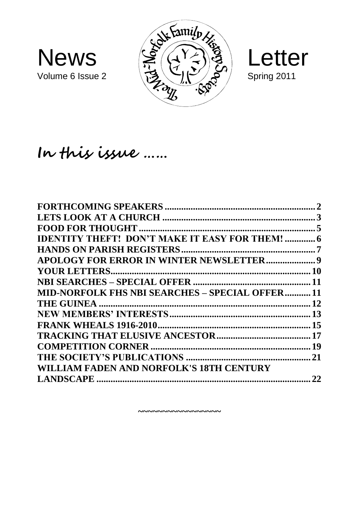





# **In this issue ……**

| <b>IDENTITY THEFT! DON'T MAKE IT EASY FOR THEM!  6</b> |    |
|--------------------------------------------------------|----|
|                                                        |    |
|                                                        |    |
|                                                        |    |
|                                                        |    |
| <b>MID-NORFOLK FHS NBI SEARCHES - SPECIAL OFFER 11</b> |    |
|                                                        |    |
|                                                        |    |
|                                                        |    |
|                                                        |    |
|                                                        |    |
|                                                        |    |
| WILLIAM FADEN AND NORFOLK'S 18TH CENTURY               |    |
|                                                        | 22 |
|                                                        |    |

**~~~~~~~~~~~~~~~~~**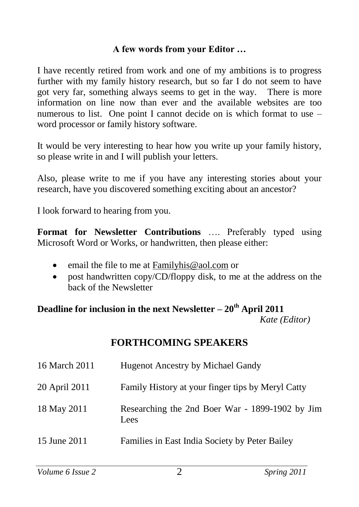#### **A few words from your Editor …**

I have recently retired from work and one of my ambitions is to progress further with my family history research, but so far I do not seem to have got very far, something always seems to get in the way. There is more information on line now than ever and the available websites are too numerous to list. One point I cannot decide on is which format to use – word processor or family history software.

It would be very interesting to hear how you write up your family history, so please write in and I will publish your letters.

Also, please write to me if you have any interesting stories about your research, have you discovered something exciting about an ancestor?

I look forward to hearing from you.

**Format for Newsletter Contributions** …. Preferably typed using Microsoft Word or Works, or handwritten, then please either:

- email the file to me at [Familyhis@aol.com](mailto:Familyhis@aol.com) or
- post handwritten copy/CD/floppy disk, to me at the address on the back of the Newsletter

#### **Deadline for inclusion in the next Newsletter – 20th April 2011**  *Kate (Editor)*

#### **FORTHCOMING SPEAKERS**

| 16 March 2011 | <b>Hugenot Ancestry by Michael Gandy</b>                |
|---------------|---------------------------------------------------------|
| 20 April 2011 | Family History at your finger tips by Meryl Catty       |
| 18 May 2011   | Researching the 2nd Boer War - 1899-1902 by Jim<br>Lees |
| 15 June 2011  | Families in East India Society by Peter Bailey          |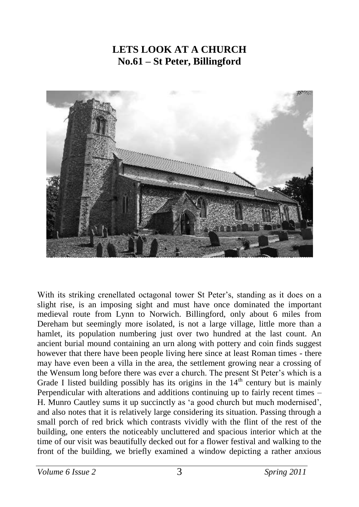#### **LETS LOOK AT A CHURCH No.61 – St Peter, Billingford**



With its striking crenellated octagonal tower St Peter's, standing as it does on a slight rise, is an imposing sight and must have once dominated the important medieval route from Lynn to Norwich. Billingford, only about 6 miles from Dereham but seemingly more isolated, is not a large village, little more than a hamlet, its population numbering just over two hundred at the last count. An ancient burial mound containing an urn along with pottery and coin finds suggest however that there have been people living here since at least Roman times - there may have even been a villa in the area, the settlement growing near a crossing of the Wensum long before there was ever a church. The present St Peter's which is a Grade I listed building possibly has its origins in the  $14<sup>th</sup>$  century but is mainly Perpendicular with alterations and additions continuing up to fairly recent times – H. Munro Cautley sums it up succinctly as 'a good church but much modernised', and also notes that it is relatively large considering its situation. Passing through a small porch of red brick which contrasts vividly with the flint of the rest of the building, one enters the noticeably uncluttered and spacious interior which at the time of our visit was beautifully decked out for a flower festival and walking to the front of the building, we briefly examined a window depicting a rather anxious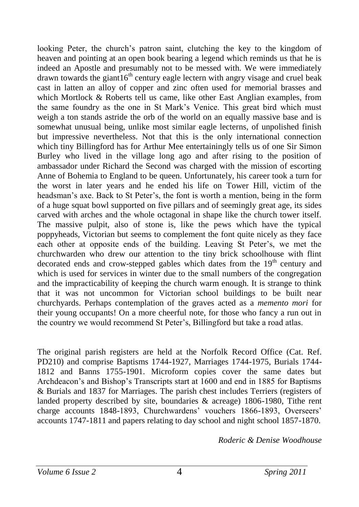looking Peter, the church's patron saint, clutching the key to the kingdom of heaven and pointing at an open book bearing a legend which reminds us that he is indeed an Apostle and presumably not to be messed with. We were immediately drawn towards the giant  $16<sup>th</sup>$  century eagle lectern with angry visage and cruel beak cast in latten an alloy of copper and zinc often used for memorial brasses and which Mortlock & Roberts tell us came, like other East Anglian examples, from the same foundry as the one in St Mark's Venice. This great bird which must weigh a ton stands astride the orb of the world on an equally massive base and is somewhat unusual being, unlike most similar eagle lecterns, of unpolished finish but impressive nevertheless. Not that this is the only international connection which tiny Billingford has for Arthur Mee entertainingly tells us of one Sir Simon Burley who lived in the village long ago and after rising to the position of ambassador under Richard the Second was charged with the mission of escorting Anne of Bohemia to England to be queen. Unfortunately, his career took a turn for the worst in later years and he ended his life on Tower Hill, victim of the headsman's axe. Back to St Peter's, the font is worth a mention, being in the form of a huge squat bowl supported on five pillars and of seemingly great age, its sides carved with arches and the whole octagonal in shape like the church tower itself. The massive pulpit, also of stone is, like the pews which have the typical poppyheads, Victorian but seems to complement the font quite nicely as they face each other at opposite ends of the building. Leaving St Peter's, we met the churchwarden who drew our attention to the tiny brick schoolhouse with flint decorated ends and crow-stepped gables which dates from the  $19<sup>th</sup>$  century and which is used for services in winter due to the small numbers of the congregation and the impracticability of keeping the church warm enough. It is strange to think that it was not uncommon for Victorian school buildings to be built near churchyards. Perhaps contemplation of the graves acted as a *memento mori* for their young occupants! On a more cheerful note, for those who fancy a run out in the country we would recommend St Peter's, Billingford but take a road atlas.

The original parish registers are held at the Norfolk Record Office (Cat. Ref. PD210) and comprise Baptisms 1744-1927, Marriages 1744-1975, Burials 1744- 1812 and Banns 1755-1901. Microform copies cover the same dates but Archdeacon's and Bishop's Transcripts start at 1600 and end in 1885 for Baptisms & Burials and 1837 for Marriages. The parish chest includes Terriers (registers of landed property described by site, boundaries & acreage) 1806-1980, Tithe rent charge accounts 1848-1893, Churchwardens' vouchers 1866-1893, Overseers' accounts 1747-1811 and papers relating to day school and night school 1857-1870.

*Roderic & Denise Woodhouse*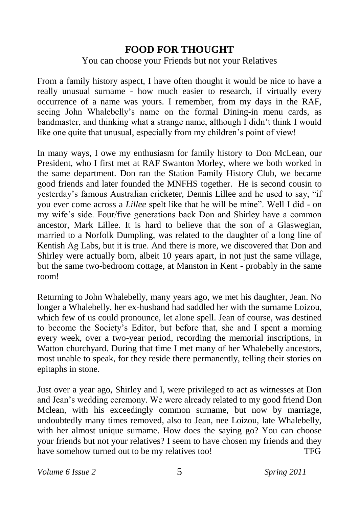#### **FOOD FOR THOUGHT**

#### You can choose your Friends but not your Relatives

From a family history aspect, I have often thought it would be nice to have a really unusual surname - how much easier to research, if virtually every occurrence of a name was yours. I remember, from my days in the RAF, seeing John Whalebelly's name on the formal Dining-in menu cards, as bandmaster, and thinking what a strange name, although I didn't think I would like one quite that unusual, especially from my children's point of view!

In many ways, I owe my enthusiasm for family history to Don McLean, our President, who I first met at RAF Swanton Morley, where we both worked in the same department. Don ran the Station Family History Club, we became good friends and later founded the MNFHS together. He is second cousin to yesterday's famous Australian cricketer, Dennis Lillee and he used to say, "if you ever come across a *Lillee* spelt like that he will be mine". Well I did - on my wife's side. Four/five generations back Don and Shirley have a common ancestor, Mark Lillee. It is hard to believe that the son of a Glaswegian, married to a Norfolk Dumpling, was related to the daughter of a long line of Kentish Ag Labs, but it is true. And there is more, we discovered that Don and Shirley were actually born, albeit 10 years apart, in not just the same village, but the same two-bedroom cottage, at Manston in Kent - probably in the same room!

Returning to John Whalebelly, many years ago, we met his daughter, Jean. No longer a Whalebelly, her ex-husband had saddled her with the surname Loizou, which few of us could pronounce, let alone spell. Jean of course, was destined to become the Society's Editor, but before that, she and I spent a morning every week, over a two-year period, recording the memorial inscriptions, in Watton churchyard. During that time I met many of her Whalebelly ancestors, most unable to speak, for they reside there permanently, telling their stories on epitaphs in stone.

Just over a year ago, Shirley and I, were privileged to act as witnesses at Don and Jean's wedding ceremony. We were already related to my good friend Don Mclean, with his exceedingly common surname, but now by marriage, undoubtedly many times removed, also to Jean, nee Loizou, late Whalebelly, with her almost unique surname. How does the saying go? You can choose your friends but not your relatives? I seem to have chosen my friends and they have somehow turned out to be my relatives too! TFG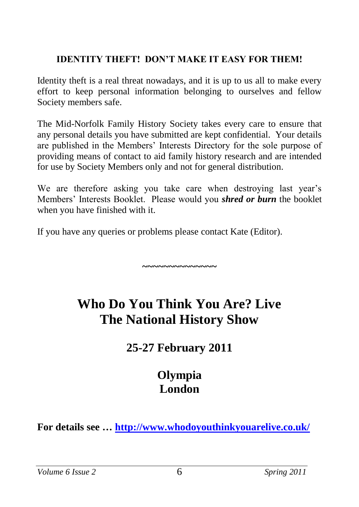#### **IDENTITY THEFT! DON'T MAKE IT EASY FOR THEM!**

Identity theft is a real threat nowadays, and it is up to us all to make every effort to keep personal information belonging to ourselves and fellow Society members safe.

The Mid-Norfolk Family History Society takes every care to ensure that any personal details you have submitted are kept confidential. Your details are published in the Members' Interests Directory for the sole purpose of providing means of contact to aid family history research and are intended for use by Society Members only and not for general distribution.

We are therefore asking you take care when destroying last year's Members' Interests Booklet. Please would you *shred or burn* the booklet when you have finished with it.

If you have any queries or problems please contact Kate (Editor).

# **Who Do You Think You Are? Live The National History Show**

**~~~~~~~~~~~~~~**

# **25-27 February 2011**

# **Olympia London**

**For details see …<http://www.whodoyouthinkyouarelive.co.uk/>**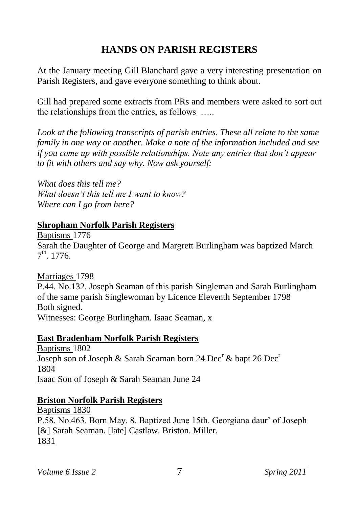# **HANDS ON PARISH REGISTERS**

At the January meeting Gill Blanchard gave a very interesting presentation on Parish Registers, and gave everyone something to think about.

Gill had prepared some extracts from PRs and members were asked to sort out the relationships from the entries, as follows …..

Look at the following transcripts of parish entries. These all relate to the same *family in one way or another. Make a note of the information included and see if you come up with possible relationships. Note any entries that don't appear to fit with others and say why. Now ask yourself:*

*What does this tell me? What doesn't this tell me I want to know? Where can I go from here?*

#### **Shropham Norfolk Parish Registers**

Baptisms 1776 Sarah the Daughter of George and Margrett Burlingham was baptized March  $7^{\text{th}}$ . 1776.

Marriages 1798

P.44. No.132. Joseph Seaman of this parish Singleman and Sarah Burlingham of the same parish Singlewoman by Licence Eleventh September 1798 Both signed. Witnesses: George Burlingham. Isaac Seaman, x

#### **East Bradenham Norfolk Parish Registers**

Baptisms 1802 Joseph son of Joseph & Sarah Seaman born 24 Dec<sup>r</sup> & bapt 26 Dec<sup>r</sup> 1804 Isaac Son of Joseph & Sarah Seaman June 24

#### **Briston Norfolk Parish Registers**

Baptisms 1830 P.58. No.463. Born May. 8. Baptized June 15th. Georgiana daur' of Joseph [&] Sarah Seaman. [late] Castlaw. Briston. Miller. 1831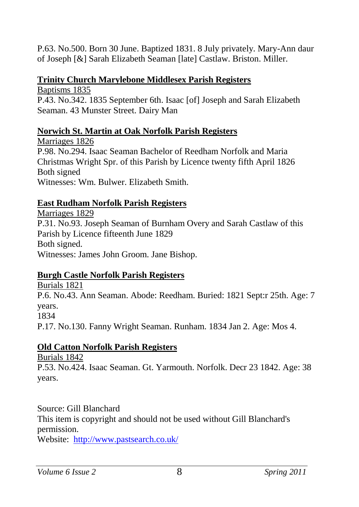P.63. No.500. Born 30 June. Baptized 1831. 8 July privately. Mary-Ann daur of Joseph [&] Sarah Elizabeth Seaman [late] Castlaw. Briston. Miller.

#### **Trinity Church Marylebone Middlesex Parish Registers**

Baptisms 1835 P.43. No.342. 1835 September 6th. Isaac [of] Joseph and Sarah Elizabeth Seaman. 43 Munster Street. Dairy Man

#### **Norwich St. Martin at Oak Norfolk Parish Registers**

Marriages 1826 P.98. No.294. Isaac Seaman Bachelor of Reedham Norfolk and Maria Christmas Wright Spr. of this Parish by Licence twenty fifth April 1826 Both signed Witnesses: Wm. Bulwer. Elizabeth Smith.

#### **East Rudham Norfolk Parish Registers**

Marriages 1829 P.31. No.93. Joseph Seaman of Burnham Overy and Sarah Castlaw of this Parish by Licence fifteenth June 1829 Both signed. Witnesses: James John Groom. Jane Bishop.

#### **Burgh Castle Norfolk Parish Registers**

Burials 1821 P.6. No.43. Ann Seaman. Abode: Reedham. Buried: 1821 Sept:r 25th. Age: 7 years. 1834 P.17. No.130. Fanny Wright Seaman. Runham. 1834 Jan 2. Age: Mos 4.

#### **Old Catton Norfolk Parish Registers**

Burials 1842

P.53. No.424. Isaac Seaman. Gt. Yarmouth. Norfolk. Decr 23 1842. Age: 38 years.

Source: Gill Blanchard This item is copyright and should not be used without Gill Blanchard's permission.

Website: <http://www.pastsearch.co.uk/>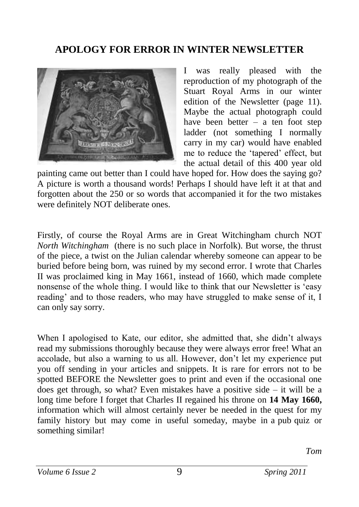### **APOLOGY FOR ERROR IN WINTER NEWSLETTER**



I was really pleased with the reproduction of my photograph of the Stuart Royal Arms in our winter edition of the Newsletter (page 11). Maybe the actual photograph could have been better – a ten foot step ladder (not something I normally carry in my car) would have enabled me to reduce the 'tapered' effect, but the actual detail of this 400 year old

painting came out better than I could have hoped for. How does the saying go? A picture is worth a thousand words! Perhaps I should have left it at that and forgotten about the 250 or so words that accompanied it for the two mistakes were definitely NOT deliberate ones.

Firstly, of course the Royal Arms are in Great Witchingham church NOT *North Witchingham* (there is no such place in Norfolk). But worse, the thrust of the piece, a twist on the Julian calendar whereby someone can appear to be buried before being born, was ruined by my second error. I wrote that Charles II was proclaimed king in May 1661, instead of 1660, which made complete nonsense of the whole thing. I would like to think that our Newsletter is 'easy reading' and to those readers, who may have struggled to make sense of it, I can only say sorry.

When I apologised to Kate, our editor, she admitted that, she didn't always read my submissions thoroughly because they were always error free! What an accolade, but also a warning to us all. However, don't let my experience put you off sending in your articles and snippets. It is rare for errors not to be spotted BEFORE the Newsletter goes to print and even if the occasional one does get through, so what? Even mistakes have a positive side – it will be a long time before I forget that Charles II regained his throne on **14 May 1660,**  information which will almost certainly never be needed in the quest for my family history but may come in useful someday, maybe in a pub-quiz or something similar!

*Tom*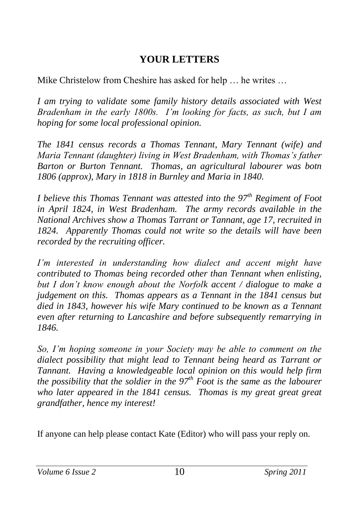### **YOUR LETTERS**

Mike Christelow from Cheshire has asked for help … he writes …

*I am trying to validate some family history details associated with West Bradenham in the early 1800s. I'm looking for facts, as such, but I am hoping for some local professional opinion.*

*The 1841 census records a Thomas Tennant, Mary Tennant (wife) and Maria Tennant (daughter) living in West Bradenham, with Thomas's father Barton or Burton Tennant. Thomas, an agricultural labourer was botn 1806 (approx), Mary in 1818 in Burnley and Maria in 1840.*

*I believe this Thomas Tennant was attested into the 97th Regiment of Foot in April 1824, in West Bradenham. The army records available in the National Archives show a Thomas Tarrant or Tannant, age 17, recruited in 1824. Apparently Thomas could not write so the details will have been recorded by the recruiting officer.*

*I'm interested in understanding how dialect and accent might have contributed to Thomas being recorded other than Tennant when enlisting, but I don't know enough about the Norfolk accent / dialogue to make a judgement on this. Thomas appears as a Tennant in the 1841 census but died in 1843, however his wife Mary continued to be known as a Tennant even after returning to Lancashire and before subsequently remarrying in 1846.*

*So, I'm hoping someone in your Society may be able to comment on the dialect possibility that might lead to Tennant being heard as Tarrant or Tannant. Having a knowledgeable local opinion on this would help firm the possibility that the soldier in the 97th Foot is the same as the labourer who later appeared in the 1841 census. Thomas is my great great great grandfather, hence my interest!*

If anyone can help please contact Kate (Editor) who will pass your reply on.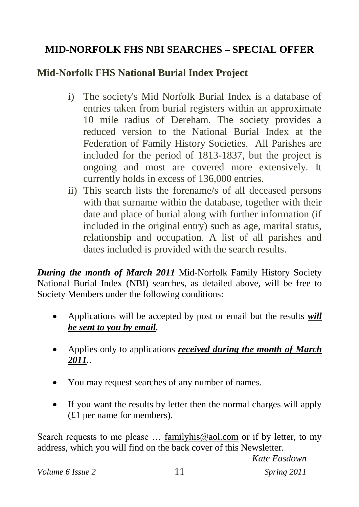# **MID-NORFOLK FHS NBI SEARCHES – SPECIAL OFFER**

### **Mid-Norfolk FHS National Burial Index Project**

- i) The society's Mid Norfolk Burial Index is a database of entries taken from burial registers within an approximate 10 mile radius of Dereham. The society provides a reduced version to the National Burial Index at the Federation of Family History Societies. All Parishes are included for the period of 1813-1837, but the project is ongoing and most are covered more extensively. It currently holds in excess of 136,000 entries.
- ii) This search lists the forename/s of all deceased persons with that surname within the database, together with their date and place of burial along with further information (if included in the original entry) such as age, marital status, relationship and occupation. A list of all parishes and dates included is provided with the search results.

*During the month of March 2011* Mid-Norfolk Family History Society National Burial Index (NBI) searches, as detailed above, will be free to Society Members under the following conditions:

- Applications will be accepted by post or email but the results *will be sent to you by email.*
- Applies only to applications *received during the month of March 2011.*.
- You may request searches of any number of names.
- If you want the results by letter then the normal charges will apply (£1 per name for members).

Search requests to me please ... [familyhis@aol.com](mailto:familyhis@aol.com) or if by letter, to my address, which you will find on the back cover of this Newsletter.

*Kate Easdown*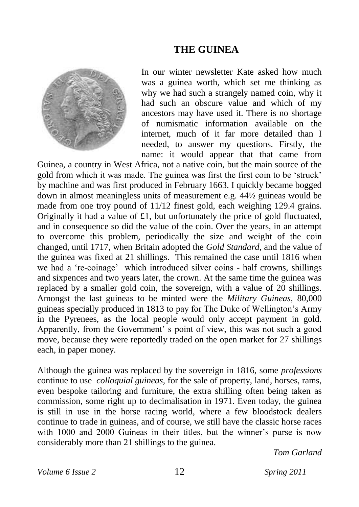### **THE GUINEA**



In our winter newsletter Kate asked how much was a guinea worth, which set me thinking as why we had such a strangely named coin, why it had such an obscure value and which of my ancestors may have used it. There is no shortage of numismatic information available on the internet, much of it far more detailed than I needed, to answer my questions. Firstly, the name: it would appear that that came from

Guinea, a country in West Africa, not a native coin, but the main source of the gold from which it was made. The guinea was first the first coin to be 'struck' by machine and was first produced in February 1663. I quickly became bogged down in almost meaningless units of measurement e.g. 44½ guineas would be made from one troy pound of 11/12 finest gold, each weighing 129.4 grains. Originally it had a value of £1, but unfortunately the price of gold fluctuated, and in consequence so did the value of the coin. Over the years, in an attempt to overcome this problem, periodically the size and weight of the coin changed, until 1717, when Britain adopted the *Gold Standard*, and the value of the guinea was fixed at 21 shillings. This remained the case until 1816 when we had a 're-coinage' which introduced silver coins - half crowns, shillings and sixpences and two years later, the crown. At the same time the guinea was replaced by a smaller gold coin, the sovereign, with a value of 20 shillings. Amongst the last guineas to be minted were the *Military Guineas,* 80,000 guineas specially produced in 1813 to pay for The Duke of Wellington's Army in the Pyrenees, as the local people would only accept payment in gold. Apparently, from the Government' s point of view, this was not such a good move, because they were reportedly traded on the open market for 27 shillings each, in paper money.

Although the guinea was replaced by the sovereign in 1816, some *professions*  continue to use *colloquial guineas,* for the sale of property, land, horses, rams, even bespoke tailoring and furniture, the extra shilling often being taken as commission, some right up to decimalisation in 1971. Even today, the guinea is still in use in the horse racing world, where a few bloodstock dealers continue to trade in guineas, and of course, we still have the classic horse races with 1000 and 2000 Guineas in their titles, but the winner's purse is now considerably more than 21 shillings to the guinea.

*Tom Garland*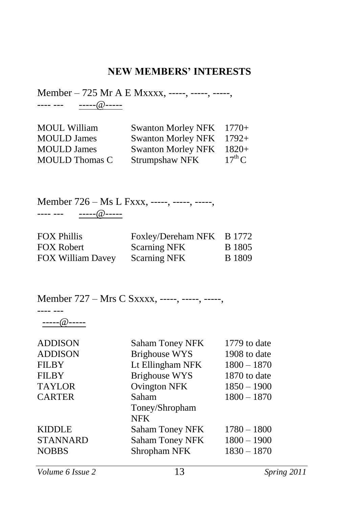#### **NEW MEMBERS' INTERESTS**

Member – 725 Mr A E Mxxxx, -----, -----, -----, ---- --- -----@-----

| <b>MOUL William</b>   | <b>Swanton Morley NFK</b> | $1770+$            |
|-----------------------|---------------------------|--------------------|
| <b>MOULD James</b>    | <b>Swanton Morley NFK</b> | $1792+$            |
| <b>MOULD James</b>    | <b>Swanton Morley NFK</b> | $1820+$            |
| <b>MOULD Thomas C</b> | Strumpshaw NFK            | $17^{\text{th}}$ C |

Member 726 – Ms L Fxxx, -----, -----, -----, ---- --- -----@-----

| <b>FOX Phillis</b> | Foxley/Dereham NFK B 1772 |               |
|--------------------|---------------------------|---------------|
| <b>FOX Robert</b>  | <b>Scarning NFK</b>       | <b>B</b> 1805 |
| FOX William Davey  | <b>Scarning NFK</b>       | <b>B</b> 1809 |

Member 727 – Mrs C Sxxxx, -----, -----, -----,

-----@-----

---- ---

| <b>ADDISON</b>  | <b>Saham Toney NFK</b> | 1779 to date  |
|-----------------|------------------------|---------------|
| <b>ADDISON</b>  | <b>Brighouse WYS</b>   | 1908 to date  |
| <b>FILBY</b>    | Lt Ellingham NFK       | $1800 - 1870$ |
| <b>FILBY</b>    | <b>Brighouse WYS</b>   | 1870 to date  |
| <b>TAYLOR</b>   | <b>Ovington NFK</b>    | $1850 - 1900$ |
| <b>CARTER</b>   | Saham                  | $1800 - 1870$ |
|                 | Toney/Shropham         |               |
|                 | <b>NFK</b>             |               |
| <b>KIDDLE</b>   | <b>Saham Toney NFK</b> | $1780 - 1800$ |
| <b>STANNARD</b> | <b>Saham Toney NFK</b> | $1800 - 1900$ |
| <b>NOBBS</b>    | Shropham NFK           | $1830 - 1870$ |
|                 |                        |               |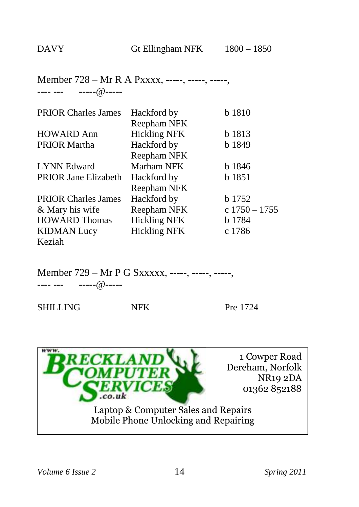#### Member 728 – Mr R A Pxxxx, -----, -----, -----, ---- --- -----@-----

| <b>PRIOR Charles James</b>  | Hackford by         | b 1810          |
|-----------------------------|---------------------|-----------------|
|                             | Reepham NFK         |                 |
| <b>HOWARD Ann</b>           | <b>Hickling NFK</b> | b 1813          |
| <b>PRIOR Martha</b>         | Hackford by         | b 1849          |
|                             | Reepham NFK         |                 |
| <b>LYNN</b> Edward          | Marham NFK          | b 1846          |
| <b>PRIOR Jane Elizabeth</b> | Hackford by         | b 1851          |
|                             | Reepham NFK         |                 |
| <b>PRIOR Charles James</b>  | Hackford by         | b 1752          |
| & Mary his wife             | Reepham NFK         | $c 1750 - 1755$ |
| <b>HOWARD Thomas</b>        | <b>Hickling NFK</b> | b 1784          |
| <b>KIDMAN</b> Lucy          | <b>Hickling NFK</b> | c 1786          |
| Keziah                      |                     |                 |

Member 729 – Mr P G Sxxxxx, -----, -----, -----,

---- --- -----@-----

SHILLING NFK Pre 1724

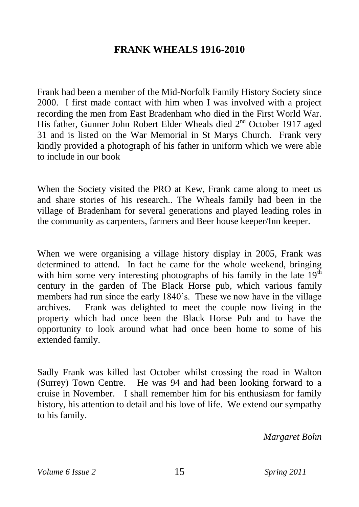#### **FRANK WHEALS 1916-2010**

Frank had been a member of the Mid-Norfolk Family History Society since 2000. I first made contact with him when I was involved with a project recording the men from East Bradenham who died in the First World War. His father, Gunner John Robert Elder Wheals died 2<sup>nd</sup> October 1917 aged 31 and is listed on the War Memorial in St Marys Church. Frank very kindly provided a photograph of his father in uniform which we were able to include in our book

When the Society visited the PRO at Kew, Frank came along to meet us and share stories of his research.. The Wheals family had been in the village of Bradenham for several generations and played leading roles in the community as carpenters, farmers and Beer house keeper/Inn keeper.

When we were organising a village history display in 2005, Frank was determined to attend. In fact he came for the whole weekend, bringing with him some very interesting photographs of his family in the late  $19<sup>th</sup>$ century in the garden of The Black Horse pub, which various family members had run since the early 1840's. These we now have in the village archives. Frank was delighted to meet the couple now living in the property which had once been the Black Horse Pub and to have the opportunity to look around what had once been home to some of his extended family.

Sadly Frank was killed last October whilst crossing the road in Walton (Surrey) Town Centre. He was 94 and had been looking forward to a cruise in November. I shall remember him for his enthusiasm for family history, his attention to detail and his love of life. We extend our sympathy to his family.

*Margaret Bohn*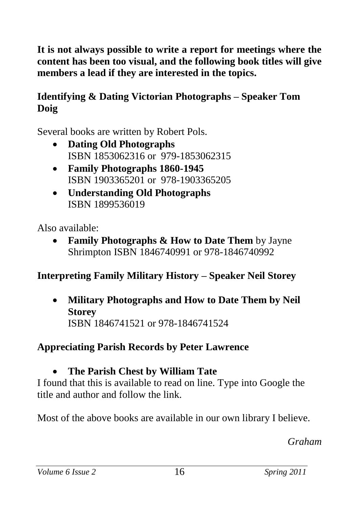**It is not always possible to write a report for meetings where the content has been too visual, and the following book titles will give members a lead if they are interested in the topics.**

### **Identifying & Dating Victorian Photographs – Speaker Tom Doig**

Several books are written by Robert Pols.

- **Dating Old Photographs**  ISBN 1853062316 or 979-1853062315
- **Family Photographs 1860-1945**  ISBN 1903365201 or 978-1903365205
- **Understanding Old Photographs** ISBN 1899536019

Also available:

 **Family Photographs & How to Date Them** by Jayne Shrimpton ISBN 1846740991 or 978-1846740992

# **Interpreting Family Military History – Speaker Neil Storey**

 **Military Photographs and How to Date Them by Neil Storey** ISBN 1846741521 or 978-1846741524

# **Appreciating Parish Records by Peter Lawrence**

# **The Parish Chest by William Tate**

I found that this is available to read on line. Type into Google the title and author and follow the link.

Most of the above books are available in our own library I believe.

*Graham*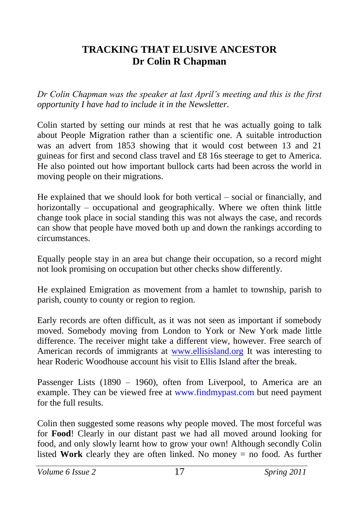#### **TRACKING THAT ELUSIVE ANCESTOR Dr Colin R Chapman**

*Dr Colin Chapman was the speaker at last April's meeting and this is the first opportunity I have had to include it in the Newsletter.*

Colin started by setting our minds at rest that he was actually going to talk about People Migration rather than a scientific one. A suitable introduction was an advert from 1853 showing that it would cost between 13 and 21 guineas for first and second class travel and £8 16s steerage to get to America. He also pointed out how important bullock carts had been across the world in moving people on their migrations.

He explained that we should look for both vertical – social or financially, and horizontally – occupational and geographically. Where we often think little change took place in social standing this was not always the case, and records can show that people have moved both up and down the rankings according to circumstances.

Equally people stay in an area but change their occupation, so a record might not look promising on occupation but other checks show differently.

He explained Emigration as movement from a hamlet to township, parish to parish, county to county or region to region.

Early records are often difficult, as it was not seen as important if somebody moved. Somebody moving from London to York or New York made little difference. The receiver might take a different view, however. Free search of American records of immigrants at [www.ellisisland.org](http://www.ellisisland.org/) It was interesting to hear Roderic Woodhouse account his visit to Ellis Island after the break.

Passenger Lists (1890 – 1960), often from Liverpool, to America are an example. They can be viewed free at www.findmypast.com but need payment for the full results.

Colin then suggested some reasons why people moved. The most forceful was for **Food**! Clearly in our distant past we had all moved around looking for food, and only slowly learnt how to grow your own! Although secondly Colin listed **Work** clearly they are often linked. No money = no food. As further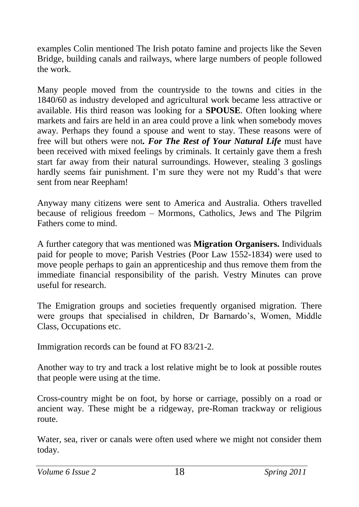examples Colin mentioned The Irish potato famine and projects like the Seven Bridge, building canals and railways, where large numbers of people followed the work.

Many people moved from the countryside to the towns and cities in the 1840/60 as industry developed and agricultural work became less attractive or available. His third reason was looking for a **SPOUSE**. Often looking where markets and fairs are held in an area could prove a link when somebody moves away. Perhaps they found a spouse and went to stay. These reasons were of free will but others were not*. For The Rest of Your Natural Life* must have been received with mixed feelings by criminals. It certainly gave them a fresh start far away from their natural surroundings. However, stealing 3 goslings hardly seems fair punishment. I'm sure they were not my Rudd's that were sent from near Reepham!

Anyway many citizens were sent to America and Australia. Others travelled because of religious freedom – Mormons, Catholics, Jews and The Pilgrim Fathers come to mind.

A further category that was mentioned was **Migration Organisers.** Individuals paid for people to move; Parish Vestries (Poor Law 1552-1834) were used to move people perhaps to gain an apprenticeship and thus remove them from the immediate financial responsibility of the parish. Vestry Minutes can prove useful for research.

The Emigration groups and societies frequently organised migration. There were groups that specialised in children, Dr Barnardo's, Women, Middle Class, Occupations etc.

Immigration records can be found at FO 83/21-2.

Another way to try and track a lost relative might be to look at possible routes that people were using at the time.

Cross-country might be on foot, by horse or carriage, possibly on a road or ancient way. These might be a ridgeway, pre-Roman trackway or religious route.

Water, sea, river or canals were often used where we might not consider them today.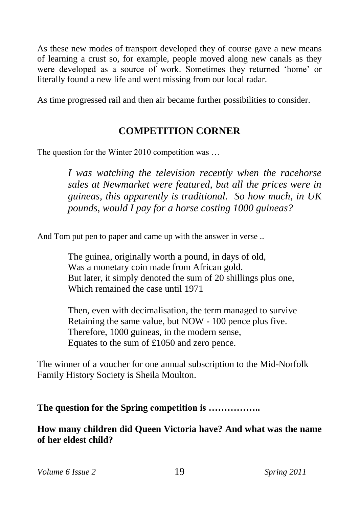As these new modes of transport developed they of course gave a new means of learning a crust so, for example, people moved along new canals as they were developed as a source of work. Sometimes they returned 'home' or literally found a new life and went missing from our local radar.

As time progressed rail and then air became further possibilities to consider.

### **COMPETITION CORNER**

The question for the Winter 2010 competition was …

*I was watching the television recently when the racehorse sales at Newmarket were featured, but all the prices were in guineas, this apparently is traditional. So how much, in UK pounds, would I pay for a horse costing 1000 guineas?*

And Tom put pen to paper and came up with the answer in verse ..

The guinea, originally worth a pound, in days of old, Was a monetary coin made from African gold. But later, it simply denoted the sum of 20 shillings plus one, Which remained the case until 1971

Then, even with decimalisation, the term managed to survive Retaining the same value, but NOW - 100 pence plus five. Therefore, 1000 guineas, in the modern sense, Equates to the sum of £1050 and zero pence.

The winner of a voucher for one annual subscription to the Mid-Norfolk Family History Society is Sheila Moulton.

**The question for the Spring competition is ……………..**

**How many children did Queen Victoria have? And what was the name of her eldest child?**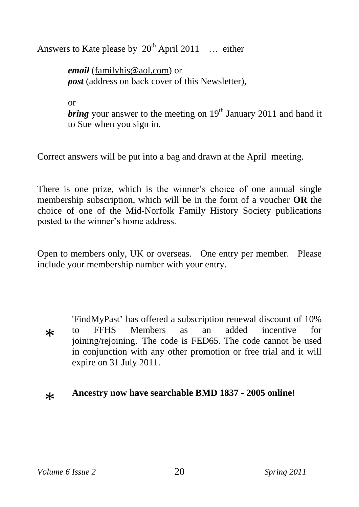Answers to Kate please by  $20^{th}$  April 2011 ... either

*email* [\(familyhis@aol.com\)](mailto:familyhis@aol.com) or *post* (address on back cover of this Newsletter),

or

*bring* your answer to the meeting on  $19<sup>th</sup>$  January 2011 and hand it to Sue when you sign in.

Correct answers will be put into a bag and drawn at the April meeting.

There is one prize, which is the winner's choice of one annual single membership subscription, which will be in the form of a voucher **OR** the choice of one of the Mid-Norfolk Family History Society publications posted to the winner's home address.

Open to members only, UK or overseas. One entry per member. Please include your membership number with your entry.

 $\ast$ 'FindMyPast' has offered a subscription renewal discount of 10% to FFHS Members as an added incentive for joining/rejoining. The code is FED65. The code cannot be used in conjunction with any other promotion or free trial and it will expire on 31 July 2011.

#### $\ast$ **Ancestry now have searchable BMD 1837 - 2005 online!**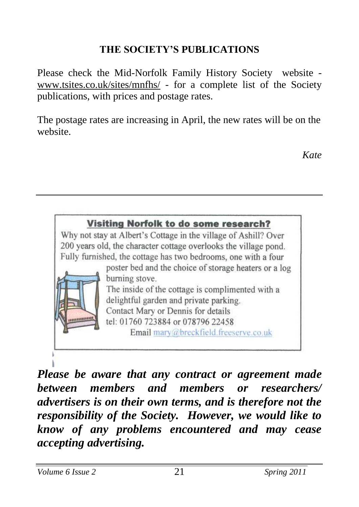# **THE SOCIETY'S PUBLICATIONS**

Please check the Mid-Norfolk Family History Society website [www.tsites.co.uk/sites/mnfhs/](http://www.tsites.co.uk/sites/mnfhs/) - for a complete list of the Society publications, with prices and postage rates.

The postage rates are increasing in April, the new rates will be on the website.

*Kate*



*Please be aware that any contract or agreement made between members and members or researchers/ advertisers is on their own terms, and is therefore not the responsibility of the Society. However, we would like to know of any problems encountered and may cease accepting advertising.*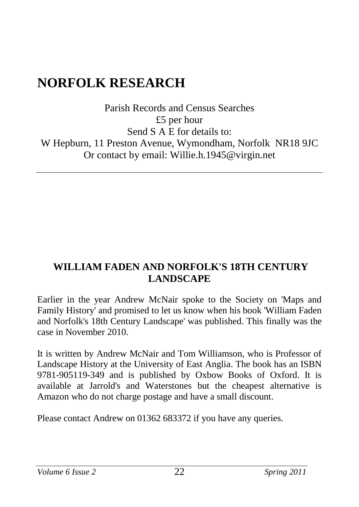# **NORFOLK RESEARCH**

Parish Records and Census Searches £5 per hour Send S A E for details to: W Hepburn, 11 Preston Avenue, Wymondham, Norfolk NR18 9JC Or contact by email: Willie.h.1945@virgin.net

### **WILLIAM FADEN AND NORFOLK'S 18TH CENTURY LANDSCAPE**

Earlier in the year Andrew McNair spoke to the Society on 'Maps and Family History' and promised to let us know when his book 'William Faden and Norfolk's 18th Century Landscape' was published. This finally was the case in November 2010.

It is written by Andrew McNair and Tom Williamson, who is Professor of Landscape History at the University of East Anglia. The book has an ISBN 9781-905119-349 and is published by Oxbow Books of Oxford. It is available at Jarrold's and Waterstones but the cheapest alternative is Amazon who do not charge postage and have a small discount.

Please contact Andrew on 01362 683372 if you have any queries.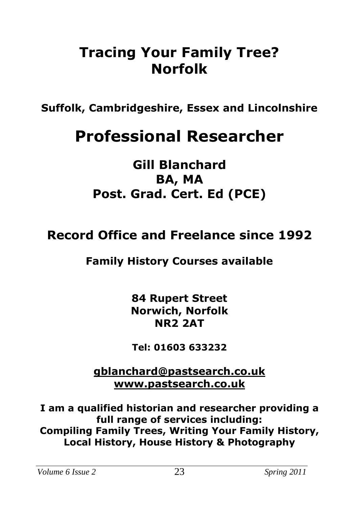# **Tracing Your Family Tree? Norfolk**

**Suffolk, Cambridgeshire, Essex and Lincolnshire**

# **Professional Researcher**

**Gill Blanchard BA, MA Post. Grad. Cert. Ed (PCE)**

# **Record Office and Freelance since 1992**

# **Family History Courses available**

**84 Rupert Street Norwich, Norfolk NR2 2AT**

**Tel: 01603 633232**

**[gblanchard@pastsearch.co.uk](mailto:gblanchard@pastsearch.co.uk) [www.pastsearch.co.uk](http://www.pastsearch.co.uk/)**

**I am a qualified historian and researcher providing a full range of services including: Compiling Family Trees, Writing Your Family History, Local History, House History & Photography**